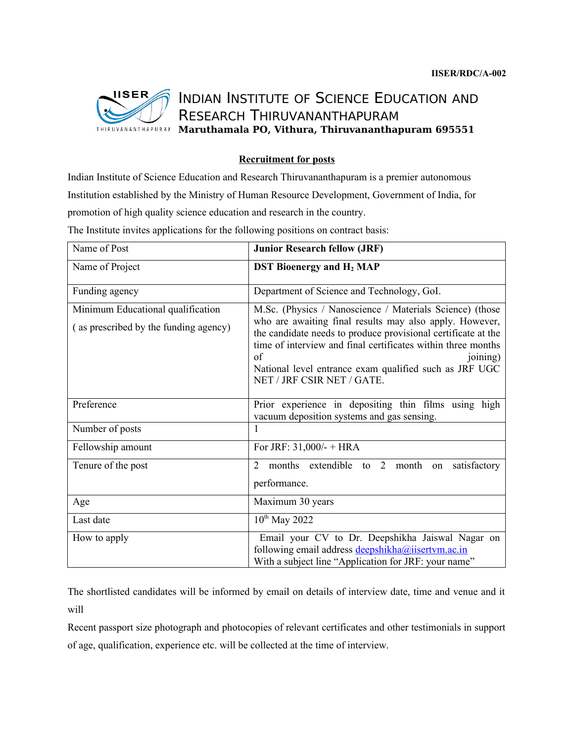

## INDIAN INSTITUTE OF SCIENCE EDUCATION AND RESEARCH THIRUVANANTHAPURAM **Maruthamala PO, Vithura, Thiruvananthapuram 695551**

## **Recruitment for posts**

Indian Institute of Science Education and Research Thiruvananthapuram is a premier autonomous Institution established by the Ministry of Human Resource Development, Government of India, for promotion of high quality science education and research in the country.

| Name of Post                                                               | <b>Junior Research fellow (JRF)</b>                                                                                                                                                                                                                                                                                                                            |
|----------------------------------------------------------------------------|----------------------------------------------------------------------------------------------------------------------------------------------------------------------------------------------------------------------------------------------------------------------------------------------------------------------------------------------------------------|
| Name of Project                                                            | <b>DST Bioenergy and H<sub>2</sub> MAP</b>                                                                                                                                                                                                                                                                                                                     |
| Funding agency                                                             | Department of Science and Technology, GoI.                                                                                                                                                                                                                                                                                                                     |
| Minimum Educational qualification<br>(as prescribed by the funding agency) | M.Sc. (Physics / Nanoscience / Materials Science) (those<br>who are awaiting final results may also apply. However,<br>the candidate needs to produce provisional certificate at the<br>time of interview and final certificates within three months<br>of<br>joining)<br>National level entrance exam qualified such as JRF UGC<br>NET / JRF CSIR NET / GATE. |
| Preference                                                                 | Prior experience in depositing thin films using high<br>vacuum deposition systems and gas sensing.                                                                                                                                                                                                                                                             |
| Number of posts                                                            | $\mathbf{1}$                                                                                                                                                                                                                                                                                                                                                   |
| Fellowship amount                                                          | For JRF: $31,000/- + HRA$                                                                                                                                                                                                                                                                                                                                      |
| Tenure of the post                                                         | 2<br>months extendible to 2 month<br>satisfactory<br>on<br>performance.                                                                                                                                                                                                                                                                                        |
| Age                                                                        | Maximum 30 years                                                                                                                                                                                                                                                                                                                                               |
| Last date                                                                  | $10^{th}$ May 2022                                                                                                                                                                                                                                                                                                                                             |
| How to apply                                                               | Email your CV to Dr. Deepshikha Jaiswal Nagar on<br>following email address deepshikha@iisertvm.ac.in<br>With a subject line "Application for JRF: your name"                                                                                                                                                                                                  |

The Institute invites applications for the following positions on contract basis:

The shortlisted candidates will be informed by email on details of interview date, time and venue and it will

Recent passport size photograph and photocopies of relevant certificates and other testimonials in support of age, qualification, experience etc. will be collected at the time of interview.